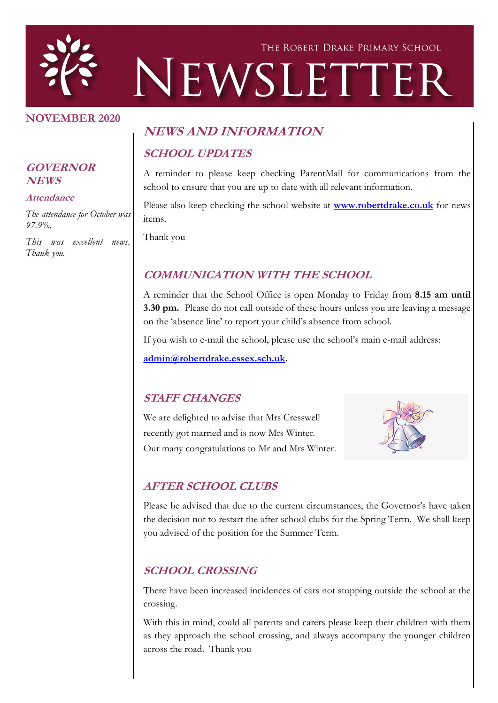

#### **NOVEMBER 2020**

#### **GOVERNOR NEWS**

#### **Attendance**

*The attendance for October was 97.9%.*

*This was excellent news. Thank you.*

# **NEWS AND INFORMATION SCHOOL UPDATES**

A reminder to please keep checking ParentMail for communications from the school to ensure that you are up to date with all relevant information.

Please also keep checking the school website at **[www.robertdrake.co.uk](http://www.robertdrake.co.uk)** for news items.

Thank you

### **COMMUNICATION WITH THE SCHOOL**

A reminder that the School Office is open Monday to Friday from **8.15 am until 3.30 pm.** Please do not call outside of these hours unless you are leaving a message on the 'absence line' to report your child's absence from school.

If you wish to e-mail the school, please use the school's main e-mail address:

**[admin@robertdrake.essex.sch.uk.](mailto:admin@robertdrake.essex.sch.uk)** 

### **STAFF CHANGES**

We are delighted to advise that Mrs Cresswell recently got married and is now Mrs Winter. Our many congratulations to Mr and Mrs Winter.



### **AFTER SCHOOL CLUBS**

Please be advised that due to the current circumstances, the Governor's have taken the decision not to restart the after school clubs for the Spring Term. We shall keep you advised of the position for the Summer Term.

### **SCHOOL CROSSING**

There have been increased incidences of cars not stopping outside the school at the crossing.

With this in mind, could all parents and carers please keep their children with them as they approach the school crossing, and always accompany the younger children across the road. Thank you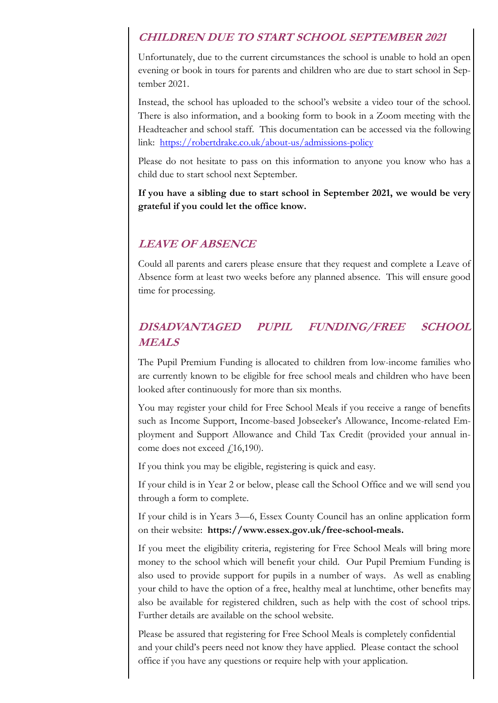### **CHILDREN DUE TO START SCHOOL SEPTEMBER 2021**

Unfortunately, due to the current circumstances the school is unable to hold an open evening or book in tours for parents and children who are due to start school in September 2021.

Instead, the school has uploaded to the school's website a video tour of the school. There is also information, and a booking form to book in a Zoom meeting with the Headteacher and school staff. This documentation can be accessed via the following link: <https://robertdrake.co.uk/about-us/admissions-policy>

Please do not hesitate to pass on this information to anyone you know who has a child due to start school next September.

**If you have a sibling due to start school in September 2021, we would be very grateful if you could let the office know.**

### **LEAVE OF ABSENCE**

Could all parents and carers please ensure that they request and complete a Leave of Absence form at least two weeks before any planned absence. This will ensure good time for processing.

## **DISADVANTAGED PUPIL FUNDING/FREE SCHOOL MEALS**

The Pupil Premium Funding is allocated to children from low-income families who are currently known to be eligible for free school meals and children who have been looked after continuously for more than six months.

You may register your child for Free School Meals if you receive a range of benefits such as Income Support, Income-based Jobseeker's Allowance, Income-related Employment and Support Allowance and Child Tax Credit (provided your annual income does not exceed  $\text{\emph{f}}\,16,190)$ .

If you think you may be eligible, registering is quick and easy.

If your child is in Year 2 or below, please call the School Office and we will send you through a form to complete.

If your child is in Years 3—6, Essex County Council has an online application form on their website: **https://www.essex.gov.uk/free-school-meals.**

If you meet the eligibility criteria, registering for Free School Meals will bring more money to the school which will benefit your child. Our Pupil Premium Funding is also used to provide support for pupils in a number of ways. As well as enabling your child to have the option of a free, healthy meal at lunchtime, other benefits may also be available for registered children, such as help with the cost of school trips. Further details are available on the school website.

Please be assured that registering for Free School Meals is completely confidential and your child's peers need not know they have applied. Please contact the school office if you have any questions or require help with your application.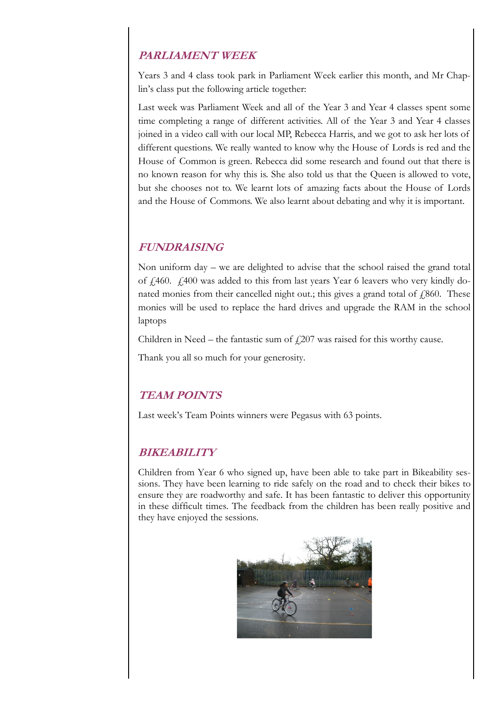### **PARLIAMENT WEEK**

Years 3 and 4 class took park in Parliament Week earlier this month, and Mr Chaplin's class put the following article together:

Last week was Parliament Week and all of the Year 3 and Year 4 classes spent some time completing a range of different activities. All of the Year 3 and Year 4 classes joined in a video call with our local MP, Rebecca Harris, and we got to ask her lots of different questions. We really wanted to know why the House of Lords is red and the House of Common is green. Rebecca did some research and found out that there is no known reason for why this is. She also told us that the Queen is allowed to vote, but she chooses not to. We learnt lots of amazing facts about the House of Lords and the House of Commons. We also learnt about debating and why it is important.

### **FUNDRAISING**

Non uniform day – we are delighted to advise that the school raised the grand total of  $\hat{\mu}$  460.  $\hat{\mu}$  400 was added to this from last years Year 6 leavers who very kindly donated monies from their cancelled night out.; this gives a grand total of  $f$  860. These monies will be used to replace the hard drives and upgrade the RAM in the school laptops

Children in Need – the fantastic sum of  $\text{\emph{f}}207$  was raised for this worthy cause.

Thank you all so much for your generosity.

### **TEAM POINTS**

Last week's Team Points winners were Pegasus with 63 points.

### **BIKEABILITY**

Children from Year 6 who signed up, have been able to take part in Bikeability sessions. They have been learning to ride safely on the road and to check their bikes to ensure they are roadworthy and safe. It has been fantastic to deliver this opportunity in these difficult times. The feedback from the children has been really positive and they have enjoyed the sessions.

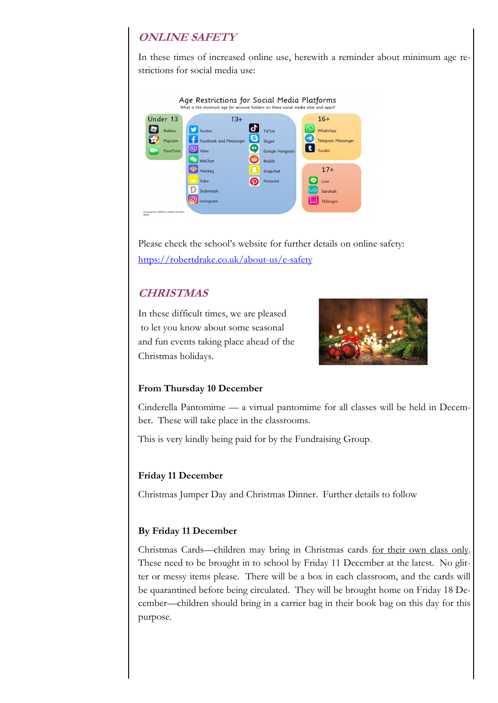### **ONLINE SAFETY**

In these times of increased online use, herewith a reminder about minimum age restrictions for social media use:



Please check the school's website for further details on online safety: <https://robertdrake.co.uk/about-us/e-safety>

### **CHRISTMAS**

In these difficult times, we are pleased to let you know about some seasonal and fun events taking place ahead of the Christmas holidays.



#### **From Thursday 10 December**

Cinderella Pantomime — a virtual pantomime for all classes will be held in December. These will take place in the classrooms.

This is very kindly being paid for by the Fundraising Group.

#### **Friday 11 December**

Christmas Jumper Day and Christmas Dinner. Further details to follow

#### **By Friday 11 December**

Christmas Cards—children may bring in Christmas cards for their own class only. These need to be brought in to school by Friday 11 December at the latest. No glitter or messy items please. There will be a box in each classroom, and the cards will be quarantined before being circulated. They will be brought home on Friday 18 December—children should bring in a carrier bag in their book bag on this day for this purpose.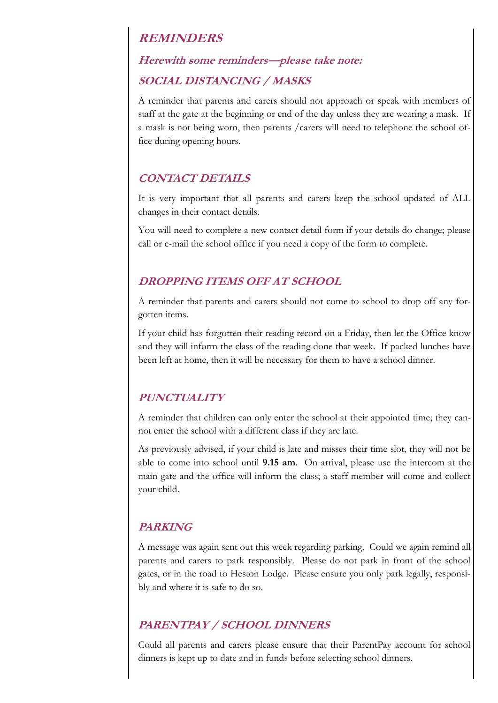### **REMINDERS**

### **Herewith some reminders—please take note:**

### **SOCIAL DISTANCING / MASKS**

A reminder that parents and carers should not approach or speak with members of staff at the gate at the beginning or end of the day unless they are wearing a mask. If a mask is not being worn, then parents /carers will need to telephone the school office during opening hours.

### **CONTACT DETAILS**

It is very important that all parents and carers keep the school updated of ALL changes in their contact details.

You will need to complete a new contact detail form if your details do change; please call or e-mail the school office if you need a copy of the form to complete.

### **DROPPING ITEMS OFF AT SCHOOL**

A reminder that parents and carers should not come to school to drop off any forgotten items.

If your child has forgotten their reading record on a Friday, then let the Office know and they will inform the class of the reading done that week. If packed lunches have been left at home, then it will be necessary for them to have a school dinner.

### **PUNCTUALITY**

A reminder that children can only enter the school at their appointed time; they cannot enter the school with a different class if they are late.

As previously advised, if your child is late and misses their time slot, they will not be able to come into school until **9.15 am**. On arrival, please use the intercom at the main gate and the office will inform the class; a staff member will come and collect your child.

### **PARKING**

A message was again sent out this week regarding parking. Could we again remind all parents and carers to park responsibly. Please do not park in front of the school gates, or in the road to Heston Lodge. Please ensure you only park legally, responsibly and where it is safe to do so.

### **PARENTPAY / SCHOOL DINNERS**

Could all parents and carers please ensure that their ParentPay account for school dinners is kept up to date and in funds before selecting school dinners.